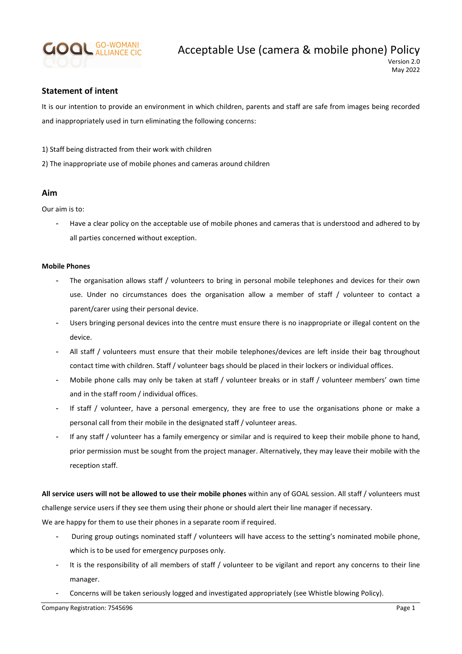

## Statement of intent

It is our intention to provide an environment in which children, parents and staff are safe from images being recorded and inappropriately used in turn eliminating the following concerns:

- 1) Staff being distracted from their work with children
- 2) The inappropriate use of mobile phones and cameras around children

## Aim

Our aim is to:

- Have a clear policy on the acceptable use of mobile phones and cameras that is understood and adhered to by all parties concerned without exception.

## Mobile Phones

- The organisation allows staff / volunteers to bring in personal mobile telephones and devices for their own use. Under no circumstances does the organisation allow a member of staff / volunteer to contact a parent/carer using their personal device.
- Users bringing personal devices into the centre must ensure there is no inappropriate or illegal content on the device.
- All staff / volunteers must ensure that their mobile telephones/devices are left inside their bag throughout contact time with children. Staff / volunteer bags should be placed in their lockers or individual offices.
- Mobile phone calls may only be taken at staff / volunteer breaks or in staff / volunteer members' own time and in the staff room / individual offices.
- If staff / volunteer, have a personal emergency, they are free to use the organisations phone or make a personal call from their mobile in the designated staff / volunteer areas.
- If any staff / volunteer has a family emergency or similar and is required to keep their mobile phone to hand, prior permission must be sought from the project manager. Alternatively, they may leave their mobile with the reception staff.

All service users will not be allowed to use their mobile phones within any of GOAL session. All staff / volunteers must challenge service users if they see them using their phone or should alert their line manager if necessary. We are happy for them to use their phones in a separate room if required.

- During group outings nominated staff / volunteers will have access to the setting's nominated mobile phone, which is to be used for emergency purposes only.
- It is the responsibility of all members of staff / volunteer to be vigilant and report any concerns to their line manager.
- Concerns will be taken seriously logged and investigated appropriately (see Whistle blowing Policy).